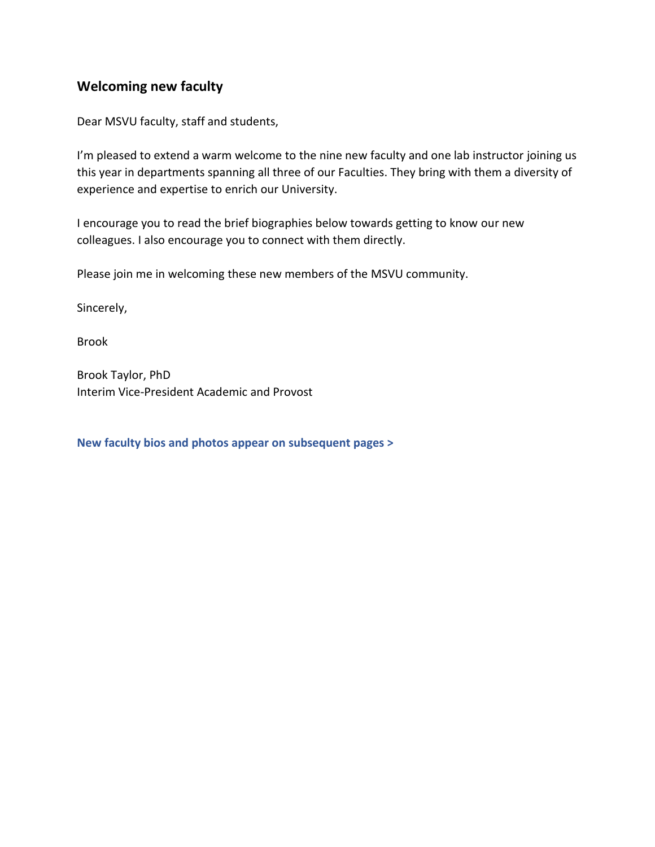# **Welcoming new faculty**

Dear MSVU faculty, staff and students,

I'm pleased to extend a warm welcome to the nine new faculty and one lab instructor joining us this year in departments spanning all three of our Faculties. They bring with them a diversity of experience and expertise to enrich our University.

I encourage you to read the brief biographies below towards getting to know our new colleagues. I also encourage you to connect with them directly.

Please join me in welcoming these new members of the MSVU community.

Sincerely,

Brook

Brook Taylor, PhD Interim Vice-President Academic and Provost

**New faculty bios and photos appear on subsequent pages >**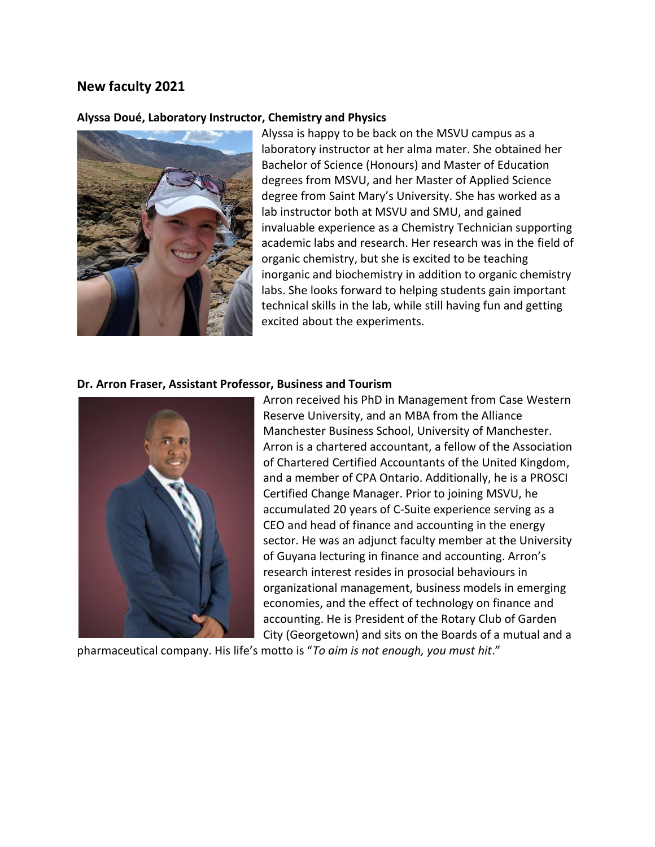# **New faculty 2021**

## **Alyssa Doué, Laboratory Instructor, Chemistry and Physics**



Alyssa is happy to be back on the MSVU campus as a laboratory instructor at her alma mater. She obtained her Bachelor of Science (Honours) and Master of Education degrees from MSVU, and her Master of Applied Science degree from Saint Mary's University. She has worked as a lab instructor both at MSVU and SMU, and gained invaluable experience as a Chemistry Technician supporting academic labs and research. Her research was in the field of organic chemistry, but she is excited to be teaching inorganic and biochemistry in addition to organic chemistry labs. She looks forward to helping students gain important technical skills in the lab, while still having fun and getting excited about the experiments.

#### **Dr. Arron Fraser, Assistant Professor, Business and Tourism**



Arron received his PhD in Management from Case Western Reserve University, and an MBA from the Alliance Manchester Business School, University of Manchester. Arron is a chartered accountant, a fellow of the Association of Chartered Certified Accountants of the United Kingdom, and a member of CPA Ontario. Additionally, he is a PROSCI Certified Change Manager. Prior to joining MSVU, he accumulated 20 years of C-Suite experience serving as a CEO and head of finance and accounting in the energy sector. He was an adjunct faculty member at the University of Guyana lecturing in finance and accounting. Arron's research interest resides in prosocial behaviours in organizational management, business models in emerging economies, and the effect of technology on finance and accounting. He is President of the Rotary Club of Garden City (Georgetown) and sits on the Boards of a mutual and a

pharmaceutical company. His life's motto is "*To aim is not enough, you must hit*."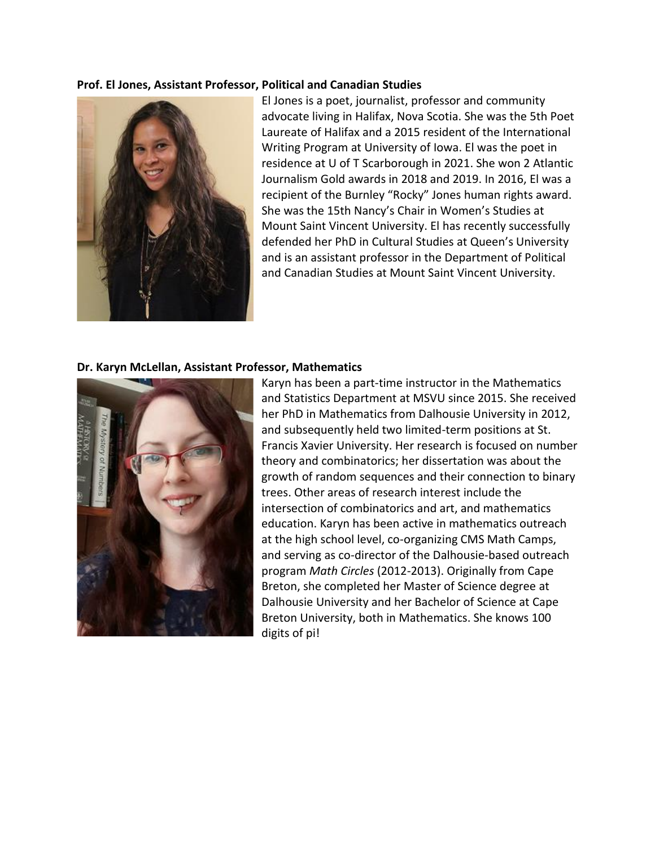#### **Prof. El Jones, Assistant Professor, Political and Canadian Studies**



El Jones is a poet, journalist, professor and community advocate living in Halifax, Nova Scotia. She was the 5th Poet Laureate of Halifax and a 2015 resident of the International Writing Program at University of Iowa. El was the poet in residence at U of T Scarborough in 2021. She won 2 Atlantic Journalism Gold awards in 2018 and 2019. In 2016, El was a recipient of the Burnley "Rocky" Jones human rights award. She was the 15th Nancy's Chair in Women's Studies at Mount Saint Vincent University. El has recently successfully defended her PhD in Cultural Studies at Queen's University and is an assistant professor in the Department of Political and Canadian Studies at Mount Saint Vincent University.

#### **Dr. Karyn McLellan, Assistant Professor, Mathematics**



Karyn has been a part-time instructor in the Mathematics and Statistics Department at MSVU since 2015. She received her PhD in Mathematics from Dalhousie University in 2012, and subsequently held two limited-term positions at St. Francis Xavier University. Her research is focused on number theory and combinatorics; her dissertation was about the growth of random sequences and their connection to binary trees. Other areas of research interest include the intersection of combinatorics and art, and mathematics education. Karyn has been active in mathematics outreach at the high school level, co-organizing CMS Math Camps, and serving as co-director of the Dalhousie-based outreach program *Math Circles* (2012-2013). Originally from Cape Breton, she completed her Master of Science degree at Dalhousie University and her Bachelor of Science at Cape Breton University, both in Mathematics. She knows 100 digits of pi!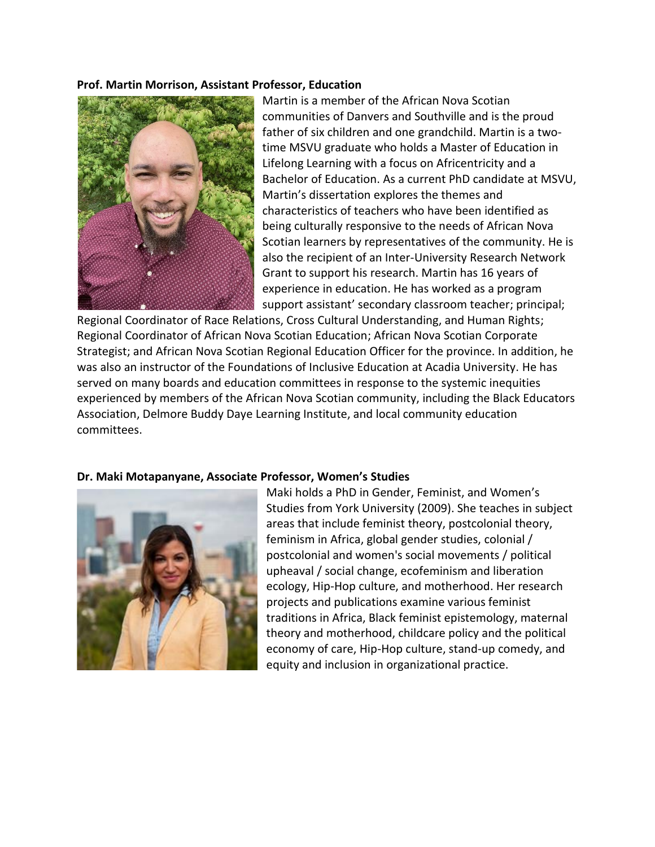#### **Prof. Martin Morrison, Assistant Professor, Education**



Martin is a member of the African Nova Scotian communities of Danvers and Southville and is the proud father of six children and one grandchild. Martin is a twotime MSVU graduate who holds a Master of Education in Lifelong Learning with a focus on Africentricity and a Bachelor of Education. As a current PhD candidate at MSVU, Martin's dissertation explores the themes and characteristics of teachers who have been identified as being culturally responsive to the needs of African Nova Scotian learners by representatives of the community. He is also the recipient of an Inter-University Research Network Grant to support his research. Martin has 16 years of experience in education. He has worked as a program support assistant' secondary classroom teacher; principal;

Regional Coordinator of Race Relations, Cross Cultural Understanding, and Human Rights; Regional Coordinator of African Nova Scotian Education; African Nova Scotian Corporate Strategist; and African Nova Scotian Regional Education Officer for the province. In addition, he was also an instructor of the Foundations of Inclusive Education at Acadia University. He has served on many boards and education committees in response to the systemic inequities experienced by members of the African Nova Scotian community, including the Black Educators Association, Delmore Buddy Daye Learning Institute, and local community education committees.

#### **Dr. Maki Motapanyane, Associate Professor, Women's Studies**



Maki holds a PhD in Gender, Feminist, and Women's Studies from York University (2009). She teaches in subject areas that include feminist theory, postcolonial theory, feminism in Africa, global gender studies, colonial / postcolonial and women's social movements / political upheaval / social change, ecofeminism and liberation ecology, Hip-Hop culture, and motherhood. Her research projects and publications examine various feminist traditions in Africa, Black feminist epistemology, maternal theory and motherhood, childcare policy and the political economy of care, Hip-Hop culture, stand-up comedy, and equity and inclusion in organizational practice.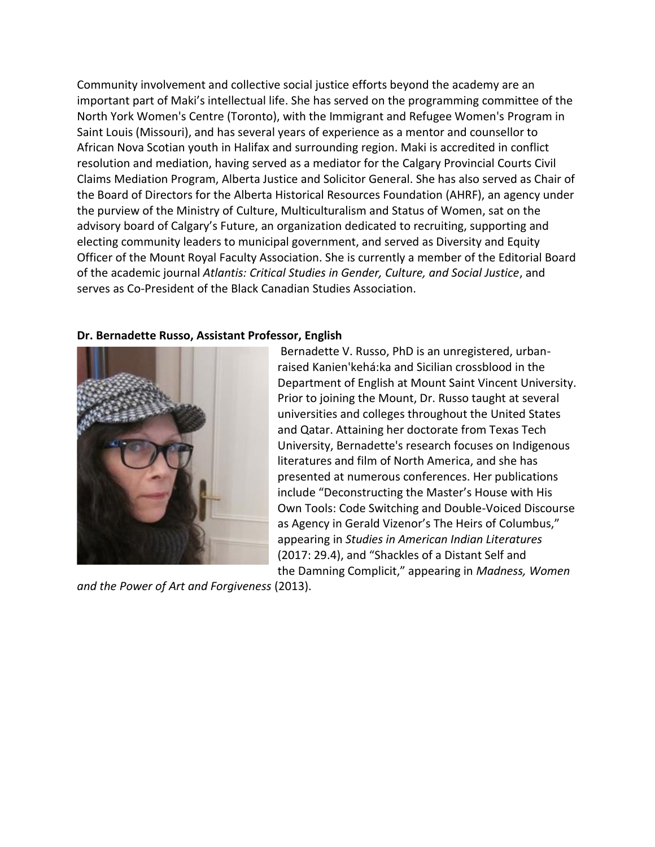Community involvement and collective social justice efforts beyond the academy are an important part of Maki's intellectual life. She has served on the programming committee of the North York Women's Centre (Toronto), with the Immigrant and Refugee Women's Program in Saint Louis (Missouri), and has several years of experience as a mentor and counsellor to African Nova Scotian youth in Halifax and surrounding region. Maki is accredited in conflict resolution and mediation, having served as a mediator for the Calgary Provincial Courts Civil Claims Mediation Program, Alberta Justice and Solicitor General. She has also served as Chair of the Board of Directors for the Alberta Historical Resources Foundation (AHRF), an agency under the purview of the Ministry of Culture, Multiculturalism and Status of Women, sat on the advisory board of Calgary's Future, an organization dedicated to recruiting, supporting and electing community leaders to municipal government, and served as Diversity and Equity Officer of the Mount Royal Faculty Association. She is currently a member of the Editorial Board of the academic journal *Atlantis: Critical Studies in Gender, Culture, and Social Justice*, and serves as Co-President of the Black Canadian Studies Association.

#### **Dr. Bernadette Russo, Assistant Professor, English**



Bernadette V. Russo, PhD is an unregistered, urbanraised Kanien'kehá:ka and Sicilian crossblood in the Department of English at Mount Saint Vincent University. Prior to joining the Mount, Dr. Russo taught at several universities and colleges throughout the United States and Qatar. Attaining her doctorate from Texas Tech University, Bernadette's research focuses on Indigenous literatures and film of North America, and she has presented at numerous conferences. Her publications include "Deconstructing the Master's House with His Own Tools: Code Switching and Double-Voiced Discourse as Agency in Gerald Vizenor's The Heirs of Columbus," appearing in *Studies in American Indian Literatures* (2017: 29.4), and "Shackles of a Distant Self and the Damning Complicit," appearing in *Madness, Women* 

*and the Power of Art and Forgiveness* (2013).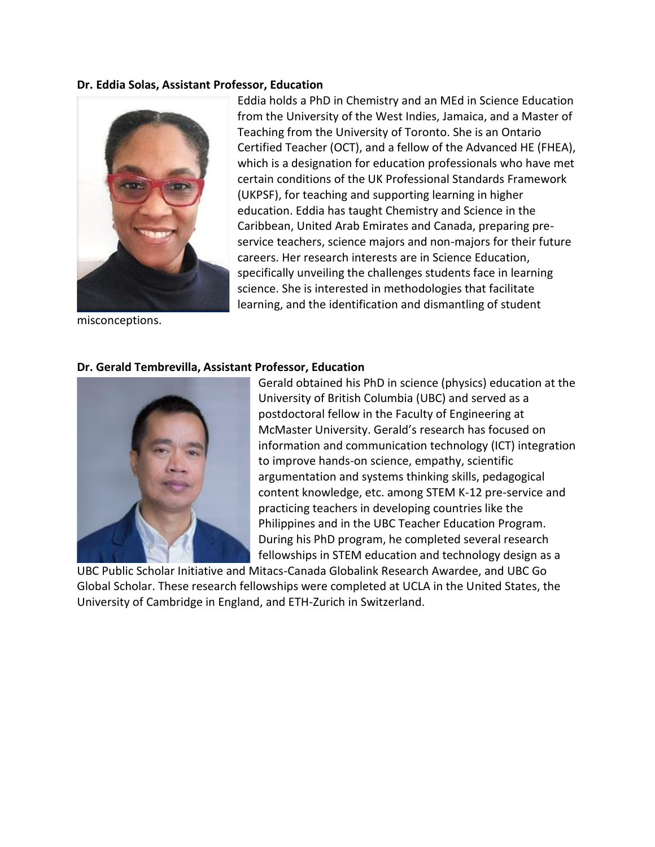# **Dr. Eddia Solas, Assistant Professor, Education**



Eddia holds a PhD in Chemistry and an MEd in Science Education from the University of the West Indies, Jamaica, and a Master of Teaching from the University of Toronto. She is an Ontario Certified Teacher (OCT), and a fellow of the Advanced HE (FHEA), which is a designation for education professionals who have met certain conditions of the UK Professional Standards Framework (UKPSF), for teaching and supporting learning in higher education. Eddia has taught Chemistry and Science in the Caribbean, United Arab Emirates and Canada, preparing preservice teachers, science majors and non-majors for their future careers. Her research interests are in Science Education, specifically unveiling the challenges students face in learning science. She is interested in methodologies that facilitate learning, and the identification and dismantling of student

misconceptions.

# **Dr. Gerald Tembrevilla, Assistant Professor, Education**



Gerald obtained his PhD in science (physics) education at the University of British Columbia (UBC) and served as a postdoctoral fellow in the Faculty of Engineering at McMaster University. Gerald's research has focused on information and communication technology (ICT) integration to improve hands-on science, empathy, scientific argumentation and systems thinking skills, pedagogical content knowledge, etc. among STEM K-12 pre-service and practicing teachers in developing countries like the Philippines and in the UBC Teacher Education Program. During his PhD program, he completed several research fellowships in STEM education and technology design as a

UBC Public Scholar Initiative and Mitacs-Canada Globalink Research Awardee, and UBC Go Global Scholar. These research fellowships were completed at UCLA in the United States, the University of Cambridge in England, and ETH-Zurich in Switzerland.